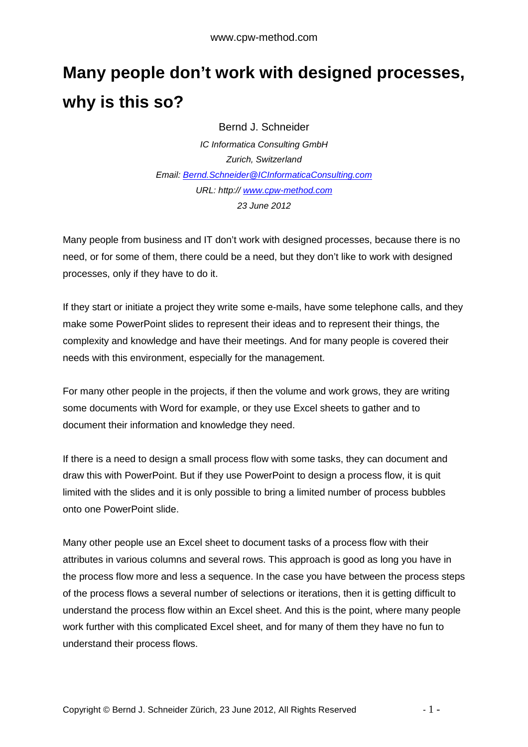## **Many people don't work with designed processes, why is this so?**

Bernd J. Schneider

IC Informatica Consulting GmbH Zurich, Switzerland Email: Bernd.Schneider@ICInformaticaConsulting.com URL: http:// www.cpw-method.com 23 June 2012

Many people from business and IT don't work with designed processes, because there is no need, or for some of them, there could be a need, but they don't like to work with designed processes, only if they have to do it.

If they start or initiate a project they write some e-mails, have some telephone calls, and they make some PowerPoint slides to represent their ideas and to represent their things, the complexity and knowledge and have their meetings. And for many people is covered their needs with this environment, especially for the management.

For many other people in the projects, if then the volume and work grows, they are writing some documents with Word for example, or they use Excel sheets to gather and to document their information and knowledge they need.

If there is a need to design a small process flow with some tasks, they can document and draw this with PowerPoint. But if they use PowerPoint to design a process flow, it is quit limited with the slides and it is only possible to bring a limited number of process bubbles onto one PowerPoint slide.

Many other people use an Excel sheet to document tasks of a process flow with their attributes in various columns and several rows. This approach is good as long you have in the process flow more and less a sequence. In the case you have between the process steps of the process flows a several number of selections or iterations, then it is getting difficult to understand the process flow within an Excel sheet. And this is the point, where many people work further with this complicated Excel sheet, and for many of them they have no fun to understand their process flows.